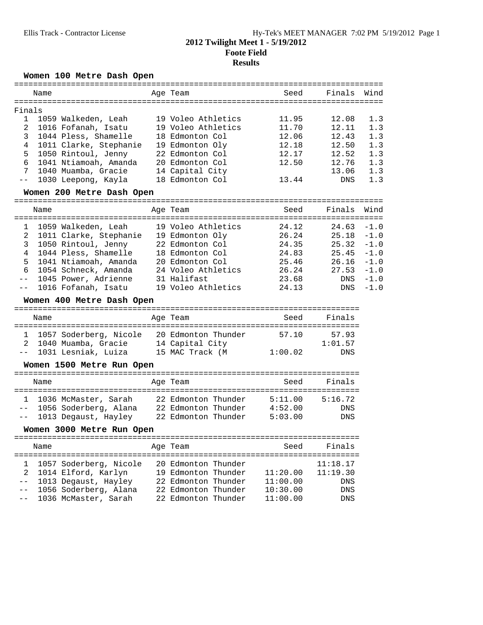# **Results**

### **Women 100 Metre Dash Open**

|        | Name |                           |  | Age Team           | Seed  | Finals     | Wind |  |  |  |
|--------|------|---------------------------|--|--------------------|-------|------------|------|--|--|--|
|        |      |                           |  |                    |       |            |      |  |  |  |
| Finals |      |                           |  |                    |       |            |      |  |  |  |
|        |      | 1059 Walkeden, Leah       |  | 19 Voleo Athletics | 11.95 | 12.08      | 1.3  |  |  |  |
|        |      | 2 1016 Fofanah, Isatu     |  | 19 Voleo Athletics | 11.70 | 12.11      | 1.3  |  |  |  |
| 3      |      | 1044 Pless, Shamelle      |  | 18 Edmonton Col    | 12.06 | 12.43      | 1.3  |  |  |  |
|        |      | 4 1011 Clarke, Stephanie  |  | 19 Edmonton Oly    | 12.18 | 12.50      | 1.3  |  |  |  |
|        |      | 5 1050 Rintoul, Jenny     |  | 22 Edmonton Col    | 12.17 | 12.52      | 1.3  |  |  |  |
| 6      |      | 1041 Ntiamoah, Amanda     |  | 20 Edmonton Col    | 12.50 | 12.76      | 1.3  |  |  |  |
| 7      |      | 1040 Muamba, Gracie       |  | 14 Capital City    |       | 13.06      | 1.3  |  |  |  |
| $- -$  |      | 1030 Leepong, Kayla       |  | 18 Edmonton Col    | 13.44 | <b>DNS</b> | 1.3  |  |  |  |
|        |      | Women 200 Metre Dash Open |  |                    |       |            |      |  |  |  |
|        |      |                           |  |                    |       |            |      |  |  |  |

|   | Name |                         | Age Team           | Seed  | Finals Wind   |            |
|---|------|-------------------------|--------------------|-------|---------------|------------|
|   |      | 1059 Walkeden, Leah     | 19 Voleo Athletics | 24.12 | $24.63 - 1.0$ |            |
| 2 |      | 1011 Clarke, Stephanie  | 19 Edmonton Oly    | 26.24 | $25.18 - 1.0$ |            |
|   |      | 3 1050 Rintoul, Jenny   | 22 Edmonton Col    | 24.35 | $25.32 -1.0$  |            |
|   |      | 4 1044 Pless, Shamelle  | 18 Edmonton Col    | 24.83 | $25.45 - 1.0$ |            |
|   |      | 5 1041 Ntiamoah, Amanda | 20 Edmonton Col    | 25.46 | $26.16 - 1.0$ |            |
|   |      | 6 1054 Schneck, Amanda  | 24 Voleo Athletics | 26.24 | $27.53 - 1.0$ |            |
|   |      | -- 1045 Power, Adrienne | 31 Halifast        | 23.68 |               | $DNS -1.0$ |
|   |      | -- 1016 Fofanah, Isatu  | 19 Voleo Athletics | 24.13 |               | $DNS -1.0$ |

# **Women 400 Metre Dash Open**

| Name                     | Age Team            | Seed    | Finals  |
|--------------------------|---------------------|---------|---------|
| 1 1057 Soderberg, Nicole | 20 Edmonton Thunder | 57.10   | 57.93   |
| 2 1040 Muamba, Gracie    | 14 Capital City     |         | 1:01.57 |
| -- 1031 Lesniak, Luiza   | 15 MAC Track (M     | 1:00.02 | DNS     |

### **Women 1500 Metre Run Open**

| Name |                          |  | Age Team            | Seed    | Finals     |  |  |  |  |  |
|------|--------------------------|--|---------------------|---------|------------|--|--|--|--|--|
|      |                          |  |                     |         |            |  |  |  |  |  |
|      | 1 1036 McMaster, Sarah   |  | 22 Edmonton Thunder | 5:11.00 | 5:16.72    |  |  |  |  |  |
|      | -- 1056 Soderberg, Alana |  | 22 Edmonton Thunder | 4:52.00 | DNS.       |  |  |  |  |  |
|      | -- 1013 Degaust, Hayley  |  | 22 Edmonton Thunder | 5:03.00 | <b>DNS</b> |  |  |  |  |  |

# **Women 3000 Metre Run Open**

| Name |                                                                                                                               |  | Age Team                                                                                                        |  | Seed                                         | Finals                                                         |  |  |  |
|------|-------------------------------------------------------------------------------------------------------------------------------|--|-----------------------------------------------------------------------------------------------------------------|--|----------------------------------------------|----------------------------------------------------------------|--|--|--|
|      | 1 1057 Soderberg, Nicole<br>2 1014 Elford, Karlyn<br>-- 1013 Degaust, Hayley<br>1056 Soderberg, Alana<br>1036 McMaster, Sarah |  | 20 Edmonton Thunder<br>19 Edmonton Thunder<br>22 Edmonton Thunder<br>22 Edmonton Thunder<br>22 Edmonton Thunder |  | 11:20.00<br>11:00.00<br>10:30.00<br>11:00.00 | 11:18.17<br>11:19.30<br><b>DNS</b><br><b>DNS</b><br><b>DNS</b> |  |  |  |
|      |                                                                                                                               |  |                                                                                                                 |  |                                              |                                                                |  |  |  |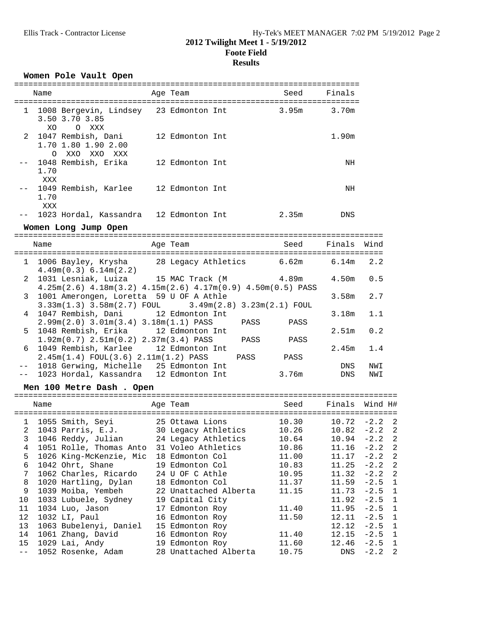# **Results**

### **Women Pole Vault Open**

|              | Name                                                                                                         | Age Team                              | Seed           | Finals            |                            |
|--------------|--------------------------------------------------------------------------------------------------------------|---------------------------------------|----------------|-------------------|----------------------------|
| 1            | 1008 Bergevin, Lindsey 23 Edmonton Int<br>3.50 3.70 3.85<br>XO.<br>O XXX                                     |                                       | 3.95m          | 3.70m             |                            |
| 2            | 1047 Rembish, Dani<br>1.70 1.80 1.90 2.00<br>O XXO XXO XXX                                                   | 12 Edmonton Int                       |                | 1.90m             |                            |
|              | 1048 Rembish, Erika<br>1.70<br>XXX                                                                           | 12 Edmonton Int                       |                | ΝH                |                            |
|              | 1049 Rembish, Karlee 12 Edmonton Int<br>1.70<br>XXX                                                          |                                       |                | ΝH                |                            |
|              | 1023 Hordal, Kassandra 12 Edmonton Int 2.35m                                                                 |                                       |                | DNS               |                            |
|              | Women Long Jump Open                                                                                         |                                       |                |                   |                            |
|              | Name                                                                                                         | Age Team                              | Seed           | Finals Wind       |                            |
| $\mathbf{1}$ | 1006 Bayley, Krysha 28 Legacy Athletics 6.62m<br>4.49m(0.3) 6.14m(2.2)                                       |                                       |                | 6.14m             | 2.2                        |
| 2            | 1031 Lesniak, Luiza 15 MAC Track (M<br>$4.25m(2.6)$ $4.18m(3.2)$ $4.15m(2.6)$ $4.17m(0.9)$ $4.50m(0.5)$ PASS |                                       | 4.89m          | 4.50m             | 0.5                        |
| 3            | 1001 Amerongen, Loretta 59 U OF A Athle<br>3.33m(1.3) 3.58m(2.7) FOUL 3.49m(2.8) 3.23m(2.1) FOUL             |                                       |                | 3.58 <sub>m</sub> | 2.7                        |
| 4            | 1047 Rembish, Dani<br>2.99m(2.0) 3.01m(3.4) 3.18m(1.1) PASS                                                  | 12 Edmonton Int<br>PASS               | PASS           | 3.18m             | 1.1                        |
| 5            | 1048 Rembish, Erika 12 Edmonton Int<br>1.92m(0.7) 2.51m(0.2) 2.37m(3.4) PASS                                 | PASS                                  | PASS           | 2.51 <sub>m</sub> | 0.2                        |
| 6            | 1049 Rembish, Karlee 12 Edmonton Int<br>2.45m(1.4) FOUL(3.6) 2.11m(1.2) PASS                                 | PASS                                  | PASS           | 2.45m             | 1.4                        |
| $ -$         | 1018 Gerwing, Michelle 25 Edmonton Int<br>1023 Hordal, Kassandra 12 Edmonton Int                             |                                       | 3.76m          | DNS<br>DNS        | NWI<br>NWI                 |
|              | Men 100 Metre Dash. Open                                                                                     |                                       |                |                   |                            |
|              | Name                                                                                                         | Age Team                              | Seed           | Finals            | Wind H#                    |
|              | 1 1055 Smith, Seyi 25 Ottawa Lions                                                                           |                                       |                |                   |                            |
| 2            | 1043 Parris, E.J.                                                                                            | 30 Legacy Athletics                   | 10.26          | $10.82 - 2.2$     | $\overline{c}$             |
| 3            | 1046 Reddy, Julian                                                                                           | 24 Legacy Athletics                   | 10.64          | 10.94             | $-2.2$<br>2                |
| 4            | 1051 Rolle, Thomas Anto<br>1026 King-McKenzie, Mic                                                           | 31 Voleo Athletics<br>18 Edmonton Col | 10.86<br>11.00 | 11.16<br>11.17    | $-2.2$<br>2<br>$-2.2$<br>2 |
| 5<br>6       | 1042 Ohrt, Shane                                                                                             | 19 Edmonton Col                       | 10.83          | 11.25             | $-2.2$<br>2                |
| 7            | 1062 Charles, Ricardo                                                                                        | 24 U OF C Athle                       | 10.95          | 11.32             | $-2.2$<br>$\overline{2}$   |
| 8            | 1020 Hartling, Dylan                                                                                         | 18 Edmonton Col                       | 11.37          | 11.59             | $-2.5$<br>1                |
| 9            | 1039 Moiba, Yembeh                                                                                           | 22 Unattached Alberta                 | 11.15          | 11.73             | $-2.5$<br>1                |
| 10           | 1033 Lubuele, Sydney                                                                                         | 19 Capital City                       |                | 11.92             | $-2.5$<br>1                |
| 11           | 1034 Luo, Jason                                                                                              | 17 Edmonton Roy                       | 11.40          | 11.95             | $-2.5$<br>1                |
| 12           | 1032 LI, Paul                                                                                                | 16 Edmonton Roy                       | 11.50          | 12.11             | $-2.5$<br>1                |
| 13           | 1063 Bubelenyi, Daniel                                                                                       | 15 Edmonton Roy                       |                | 12.12             | $-2.5$<br>1                |
| 14           | 1061 Zhang, David                                                                                            | 16 Edmonton Roy                       | 11.40          | 12.15             | $-2.5$<br>$\mathbf{1}$     |
| 15           | 1029 Lai, Andy                                                                                               | 19 Edmonton Roy                       | 11.60          | 12.46             | $-2.5$<br>1                |
| $-\,-$       | 1052 Rosenke, Adam                                                                                           | 28 Unattached Alberta                 | 10.75          | DNS               | $-2.2$<br>$\overline{a}$   |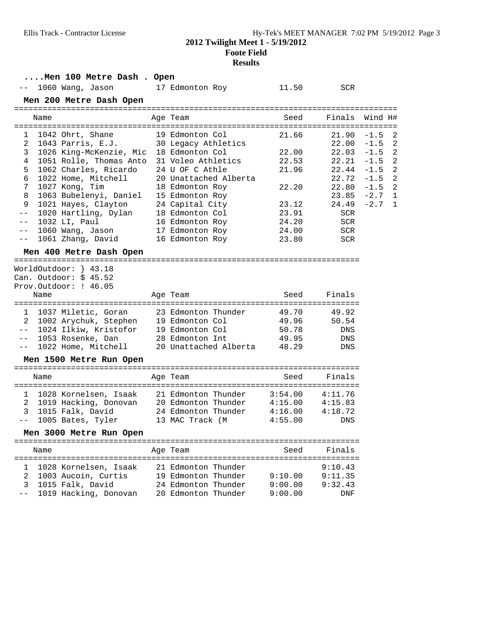# **2012 Twilight Meet 1 - 5/19/2012**

**Foote Field**

### **Results**

| Men 100 Metre Dash . Open<br>1060 Wang, Jason                              | 17 Edmonton Roy       | 11.50   | SCR           |                                 |
|----------------------------------------------------------------------------|-----------------------|---------|---------------|---------------------------------|
| Men 200 Metre Dash Open                                                    |                       |         |               |                                 |
| Name                                                                       | Age Team              | Seed    | Finals        | Wind H#                         |
| 1042 Ohrt, Shane<br>1                                                      | 19 Edmonton Col       | 21.66   | $21.90 - 1.5$ | $\overline{2}$                  |
| 2<br>1043 Parris, E.J.                                                     | 30 Legacy Athletics   |         | $22.00 - 1.5$ | $\overline{2}$                  |
| 3<br>1026 King-McKenzie, Mic                                               | 18 Edmonton Col       | 22.00   |               | $\overline{c}$<br>$22.03 - 1.5$ |
| 4<br>1051 Rolle, Thomas Anto                                               | 31 Voleo Athletics    | 22.53   |               | $\overline{2}$<br>$22.21 - 1.5$ |
| 5<br>1062 Charles, Ricardo                                                 | 24 U OF C Athle       | 21.96   |               | $\overline{c}$<br>$22.44 - 1.5$ |
| 6<br>1022 Home, Mitchell                                                   | 20 Unattached Alberta |         |               | $\overline{2}$<br>$22.72 - 1.5$ |
| 7<br>1027 Kong, Tim                                                        | 18 Edmonton Roy       | 22.20   |               | $\overline{c}$<br>$22.80 - 1.5$ |
| 1063 Bubelenyi, Daniel<br>8                                                | 15 Edmonton Roy       |         | 23.85         | $-2.7$<br>1                     |
| 9<br>1021 Hayes, Clayton                                                   | 24 Capital City       | 23.12   | 24.49         | $-2.7$<br>$\mathbf{1}$          |
| 1020 Hartling, Dylan<br>$- -$                                              | 18 Edmonton Col       | 23.91   | SCR           |                                 |
| 1032 LI, Paul<br>$- -$                                                     | 16 Edmonton Roy       | 24.20   | <b>SCR</b>    |                                 |
| 1060 Wang, Jason<br>$- -$                                                  | 17 Edmonton Roy       | 24.00   | SCR           |                                 |
| 1061 Zhang, David<br>$- -$                                                 | 16 Edmonton Roy       | 23.80   | SCR           |                                 |
| Men 400 Metre Dash Open                                                    |                       |         |               |                                 |
| WorldOutdoor: $\{43.18$<br>Can. Outdoor: $$45.52$<br>Prov.Outdoor: ! 46.05 |                       |         |               |                                 |
| Name                                                                       | Age Team              | Seed    | Finals        |                                 |
| 1 1037 Miletic, Goran                                                      | 23 Edmonton Thunder   | 49.70   | 49.92         |                                 |
| 2 1002 Arychuk, Stephen                                                    | 19 Edmonton Col       | 49.96   | 50.54         |                                 |
|                                                                            | 19 Edmonton Col       | 50.78   | DNS           |                                 |
| -- 1024 Ilkiw, Kristofor<br>-- 1053 Rosenke, Dan                           | 28 Edmonton Int       | 49.95   | DNS           |                                 |
| -- 1022 Home, Mitchell                                                     | 20 Unattached Alberta | 48.29   | DNS           |                                 |
| Men 1500 Metre Run Open                                                    |                       |         |               |                                 |
|                                                                            |                       |         |               |                                 |
| Name                                                                       | Age Team              | Seed    | Finals        |                                 |
| 1 1028 Kornelsen, Isaak                                                    | 21 Edmonton Thunder   | 3:54.00 | 4:11.76       |                                 |
| 2<br>1019 Hacking, Donovan                                                 | 20 Edmonton Thunder   | 4:15.00 | 4:15.83       |                                 |
| 3<br>1015 Falk, David                                                      | 24 Edmonton Thunder   | 4:16.00 | 4:18.72       |                                 |
| $- -$<br>1005 Bates, Tyler                                                 | 13 MAC Track (M       | 4:55.00 | DNS           |                                 |
| Men 3000 Metre Run Open                                                    |                       |         |               |                                 |
| =========================<br>Name                                          | Age Team              | Seed    | Finals        |                                 |
|                                                                            |                       |         |               |                                 |
| 1028 Kornelsen, Isaak                                                      | 21 Edmonton Thunder   |         | 9:10.43       |                                 |
| 1003 Aucoin, Curtis<br>2                                                   | 19 Edmonton Thunder   | 9:10.00 | 9:11.35       |                                 |
| 1015 Falk, David<br>3                                                      | 24 Edmonton Thunder   | 9:00.00 | 9:32.43       |                                 |
|                                                                            |                       |         |               |                                 |

-- 1019 Hacking, Donovan 20 Edmonton Thunder 9:00.00 DNF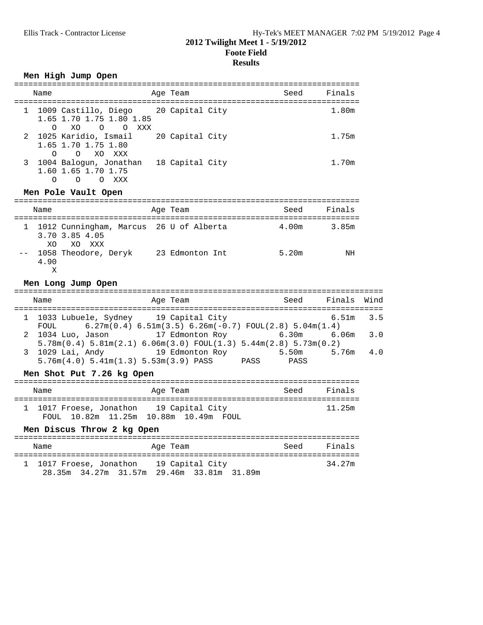# **2012 Twilight Meet 1 - 5/19/2012 Foote Field**

## **Results**

### **Men High Jump Open**

| Name                                                                                                                   | Age Team        | Seed | Finals |
|------------------------------------------------------------------------------------------------------------------------|-----------------|------|--------|
| 1 1009 Castillo, Diego 20 Capital City<br>1.65 1.70 1.75 1.80 1.85<br>$\Omega$<br>$\Omega$<br>$\Omega$<br>XO XO<br>XXX |                 |      | 1.80m  |
| 2 1025 Karidio, Ismail<br>1.65 1.70 1.75 1.80<br>O XO XXX<br>∩                                                         | 20 Capital City |      | 1.75m  |
| 3 1004 Balogun, Jonathan<br>1.60 1.65 1.70 1.75<br>$\Omega$<br>XXX<br>∩                                                | 18 Capital City |      | 1.70m  |

### **Men Pole Vault Open**

| Name |                                                                       |  | Age Team        | Seed  | Finals |  |  |  |
|------|-----------------------------------------------------------------------|--|-----------------|-------|--------|--|--|--|
| XO.  | 1 1012 Cunningham, Marcus 26 U of Alberta<br>3.70 3.85 4.05<br>XO XXX |  |                 | 4.00m | 3.85m  |  |  |  |
| 4.90 | -- 1058 Theodore, Deryk                                               |  | 23 Edmonton Int | 5.20m | NH     |  |  |  |

### **Men Long Jump Open**

| Name                                                                                             | Age Team |      | Seed        | Finals Wind |     |
|--------------------------------------------------------------------------------------------------|----------|------|-------------|-------------|-----|
| 1 1033 Lubuele, Sydney 19 Capital City                                                           |          |      |             | 6.51m 3.5   |     |
| FOUL $6.27m(0.4) 6.51m(3.5) 6.26m(-0.7) F0UL(2.8) 5.04m(1.4)$                                    |          |      |             |             |     |
| 2 1034 Luo, Jason 17 Edmonton Roy 6.30m 6.06m                                                    |          |      |             |             | 3.0 |
| $5.78$ m $(0.4)$ $5.81$ m $(2.1)$ $6.06$ m $(3.0)$ $FOUL(1.3)$ $5.44$ m $(2.8)$ $5.73$ m $(0.2)$ |          |      |             |             |     |
| 3 1029 Lai, Andy 19 Edmonton Roy                                                                 |          |      | 5.50m 5.76m |             | 4.0 |
| 5.76m(4.0) 5.41m(1.3) 5.53m(3.9) PASS                                                            |          | PASS | PASS        |             |     |

### **Men Shot Put 7.26 kg Open**

| Name                                    | Age Team                              | Finals<br>Seed |
|-----------------------------------------|---------------------------------------|----------------|
| 1 1017 Froese, Jonathon 19 Capital City | FOUL 10.82m 11.25m 10.88m 10.49m FOUL | 11.25m         |

# **Men Discus Throw 2 kg Open**

| Name                                    |  | Age Team |                                           | Seed | Finals |
|-----------------------------------------|--|----------|-------------------------------------------|------|--------|
| 1 1017 Froese, Jonathon 19 Capital City |  |          |                                           |      | 34.27m |
|                                         |  |          | 28.35m 34.27m 31.57m 29.46m 33.81m 31.89m |      |        |